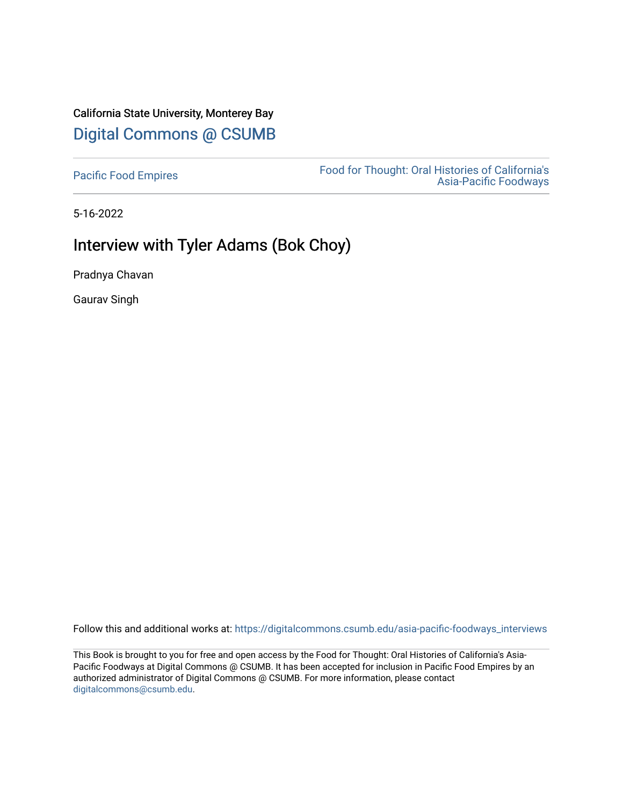## California State University, Monterey Bay [Digital Commons @ CSUMB](https://digitalcommons.csumb.edu/)

[Pacific Food Empires](https://digitalcommons.csumb.edu/asia-pacific-foodways_interviews) Food for Thought: Oral Histories of California's [Asia-Pacific Foodways](https://digitalcommons.csumb.edu/asia-pacific-foodways) 

5-16-2022

## Interview with Tyler Adams (Bok Choy)

Pradnya Chavan

Gaurav Singh

Follow this and additional works at: [https://digitalcommons.csumb.edu/asia-pacific-foodways\\_interviews](https://digitalcommons.csumb.edu/asia-pacific-foodways_interviews?utm_source=digitalcommons.csumb.edu%2Fasia-pacific-foodways_interviews%2F23&utm_medium=PDF&utm_campaign=PDFCoverPages) 

This Book is brought to you for free and open access by the Food for Thought: Oral Histories of California's Asia-Pacific Foodways at Digital Commons @ CSUMB. It has been accepted for inclusion in Pacific Food Empires by an authorized administrator of Digital Commons @ CSUMB. For more information, please contact [digitalcommons@csumb.edu](mailto:digitalcommons@csumb.edu).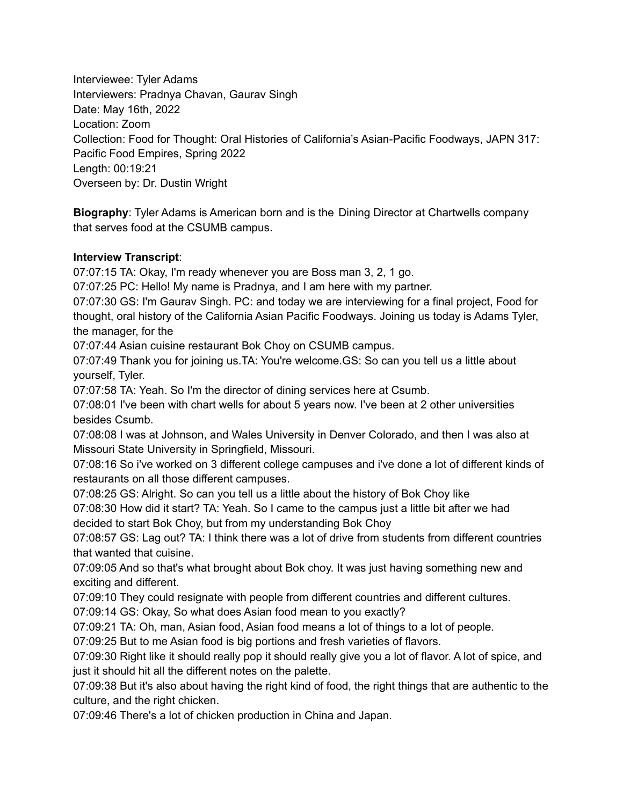Interviewee: Tyler Adams Interviewers: Pradnya Chavan, Gaurav Singh Date: May 16th, 2022 Location: Zoom Collection: Food for Thought: Oral Histories of California's Asian-Pacific Foodways, JAPN 317: Pacific Food Empires, Spring 2022 Length: 00:19:21 Overseen by: Dr. Dustin Wright

**Biography**: Tyler Adams is American born and is the Dining Director at Chartwells company that serves food at the CSUMB campus.

## **Interview Transcript**:

07:07:15 TA: Okay, I'm ready whenever you are Boss man 3, 2, 1 go.

07:07:25 PC: Hello! My name is Pradnya, and I am here with my partner.

07:07:30 GS: I'm Gaurav Singh. PC: and today we are interviewing for a final project, Food for thought, oral history of the California Asian Pacific Foodways. Joining us today is Adams Tyler, the manager, for the

07:07:44 Asian cuisine restaurant Bok Choy on CSUMB campus.

07:07:49 Thank you for joining us.TA: You're welcome.GS: So can you tell us a little about yourself, Tyler.

07:07:58 TA: Yeah. So I'm the director of dining services here at Csumb.

07:08:01 I've been with chart wells for about 5 years now. I've been at 2 other universities besides Csumb.

07:08:08 I was at Johnson, and Wales University in Denver Colorado, and then I was also at Missouri State University in Springfield, Missouri.

07:08:16 So i've worked on 3 different college campuses and i've done a lot of different kinds of restaurants on all those different campuses.

07:08:25 GS: Alright. So can you tell us a little about the history of Bok Choy like

07:08:30 How did it start? TA: Yeah. So I came to the campus just a little bit after we had decided to start Bok Choy, but from my understanding Bok Choy

07:08:57 GS: Lag out? TA: I think there was a lot of drive from students from different countries that wanted that cuisine.

07:09:05 And so that's what brought about Bok choy. It was just having something new and exciting and different.

07:09:10 They could resignate with people from different countries and different cultures.

07:09:14 GS: Okay, So what does Asian food mean to you exactly?

07:09:21 TA: Oh, man, Asian food, Asian food means a lot of things to a lot of people.

07:09:25 But to me Asian food is big portions and fresh varieties of flavors.

07:09:30 Right like it should really pop it should really give you a lot of flavor. A lot of spice, and just it should hit all the different notes on the palette.

07:09:38 But it's also about having the right kind of food, the right things that are authentic to the culture, and the right chicken.

07:09:46 There's a lot of chicken production in China and Japan.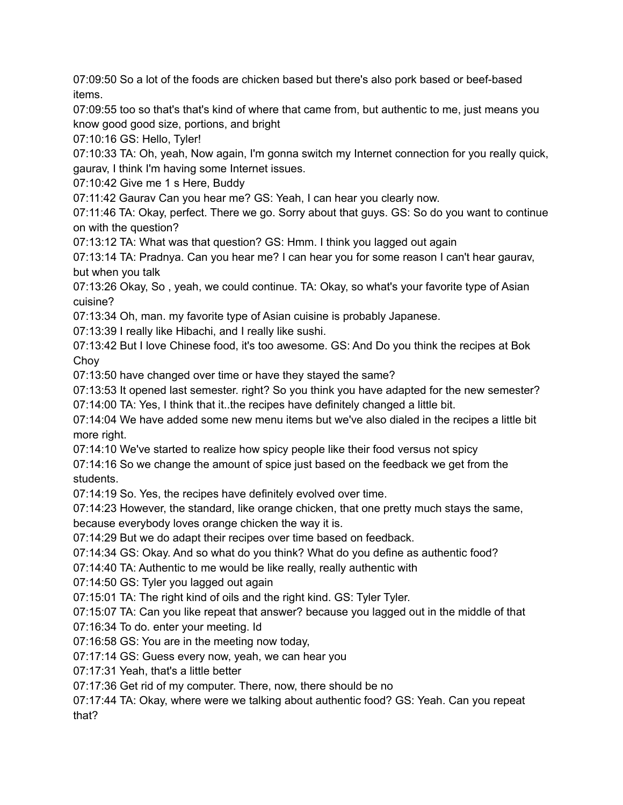07:09:50 So a lot of the foods are chicken based but there's also pork based or beef-based items.

07:09:55 too so that's that's kind of where that came from, but authentic to me, just means you know good good size, portions, and bright

07:10:16 GS: Hello, Tyler!

07:10:33 TA: Oh, yeah, Now again, I'm gonna switch my Internet connection for you really quick, gaurav, I think I'm having some Internet issues.

07:10:42 Give me 1 s Here, Buddy

07:11:42 Gaurav Can you hear me? GS: Yeah, I can hear you clearly now.

07:11:46 TA: Okay, perfect. There we go. Sorry about that guys. GS: So do you want to continue on with the question?

07:13:12 TA: What was that question? GS: Hmm. I think you lagged out again

07:13:14 TA: Pradnya. Can you hear me? I can hear you for some reason I can't hear gaurav, but when you talk

07:13:26 Okay, So , yeah, we could continue. TA: Okay, so what's your favorite type of Asian cuisine?

07:13:34 Oh, man. my favorite type of Asian cuisine is probably Japanese.

07:13:39 I really like Hibachi, and I really like sushi.

07:13:42 But I love Chinese food, it's too awesome. GS: And Do you think the recipes at Bok **Chov** 

07:13:50 have changed over time or have they stayed the same?

07:13:53 It opened last semester. right? So you think you have adapted for the new semester? 07:14:00 TA: Yes, I think that it..the recipes have definitely changed a little bit.

07:14:04 We have added some new menu items but we've also dialed in the recipes a little bit more right.

07:14:10 We've started to realize how spicy people like their food versus not spicy

07:14:16 So we change the amount of spice just based on the feedback we get from the students.

07:14:19 So. Yes, the recipes have definitely evolved over time.

07:14:23 However, the standard, like orange chicken, that one pretty much stays the same, because everybody loves orange chicken the way it is.

07:14:29 But we do adapt their recipes over time based on feedback.

07:14:34 GS: Okay. And so what do you think? What do you define as authentic food?

07:14:40 TA: Authentic to me would be like really, really authentic with

07:14:50 GS: Tyler you lagged out again

07:15:01 TA: The right kind of oils and the right kind. GS: Tyler Tyler.

07:15:07 TA: Can you like repeat that answer? because you lagged out in the middle of that

07:16:34 To do. enter your meeting. Id

07:16:58 GS: You are in the meeting now today,

07:17:14 GS: Guess every now, yeah, we can hear you

07:17:31 Yeah, that's a little better

07:17:36 Get rid of my computer. There, now, there should be no

07:17:44 TA: Okay, where were we talking about authentic food? GS: Yeah. Can you repeat that?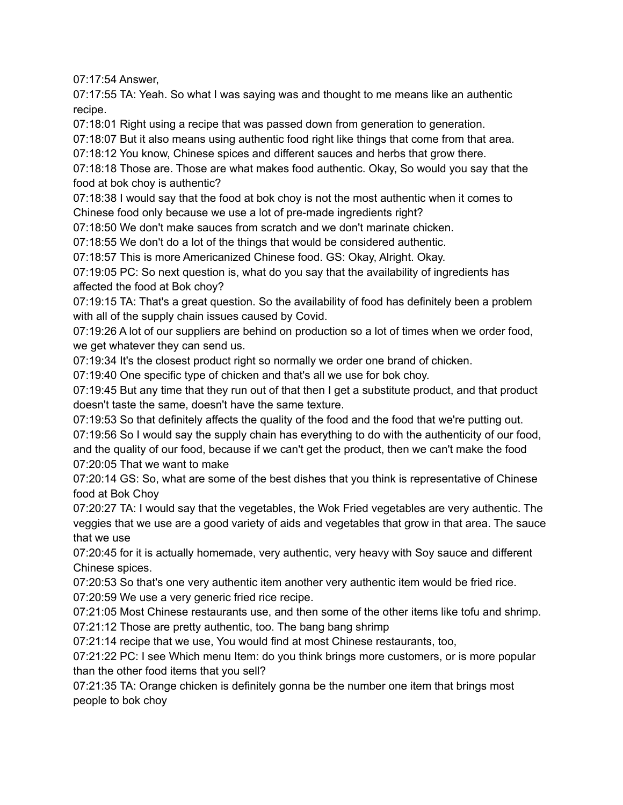07:17:54 Answer,

07:17:55 TA: Yeah. So what I was saying was and thought to me means like an authentic recipe.

07:18:01 Right using a recipe that was passed down from generation to generation.

07:18:07 But it also means using authentic food right like things that come from that area.

07:18:12 You know, Chinese spices and different sauces and herbs that grow there.

07:18:18 Those are. Those are what makes food authentic. Okay, So would you say that the food at bok choy is authentic?

07:18:38 I would say that the food at bok choy is not the most authentic when it comes to Chinese food only because we use a lot of pre-made ingredients right?

07:18:50 We don't make sauces from scratch and we don't marinate chicken.

07:18:55 We don't do a lot of the things that would be considered authentic.

07:18:57 This is more Americanized Chinese food. GS: Okay, Alright. Okay.

07:19:05 PC: So next question is, what do you say that the availability of ingredients has affected the food at Bok choy?

07:19:15 TA: That's a great question. So the availability of food has definitely been a problem with all of the supply chain issues caused by Covid.

07:19:26 A lot of our suppliers are behind on production so a lot of times when we order food, we get whatever they can send us.

07:19:34 It's the closest product right so normally we order one brand of chicken.

07:19:40 One specific type of chicken and that's all we use for bok choy.

07:19:45 But any time that they run out of that then I get a substitute product, and that product doesn't taste the same, doesn't have the same texture.

07:19:53 So that definitely affects the quality of the food and the food that we're putting out. 07:19:56 So I would say the supply chain has everything to do with the authenticity of our food, and the quality of our food, because if we can't get the product, then we can't make the food 07:20:05 That we want to make

07:20:14 GS: So, what are some of the best dishes that you think is representative of Chinese food at Bok Choy

07:20:27 TA: I would say that the vegetables, the Wok Fried vegetables are very authentic. The veggies that we use are a good variety of aids and vegetables that grow in that area. The sauce that we use

07:20:45 for it is actually homemade, very authentic, very heavy with Soy sauce and different Chinese spices.

07:20:53 So that's one very authentic item another very authentic item would be fried rice.

07:20:59 We use a very generic fried rice recipe.

07:21:05 Most Chinese restaurants use, and then some of the other items like tofu and shrimp. 07:21:12 Those are pretty authentic, too. The bang bang shrimp

07:21:14 recipe that we use, You would find at most Chinese restaurants, too,

07:21:22 PC: I see Which menu Item: do you think brings more customers, or is more popular than the other food items that you sell?

07:21:35 TA: Orange chicken is definitely gonna be the number one item that brings most people to bok choy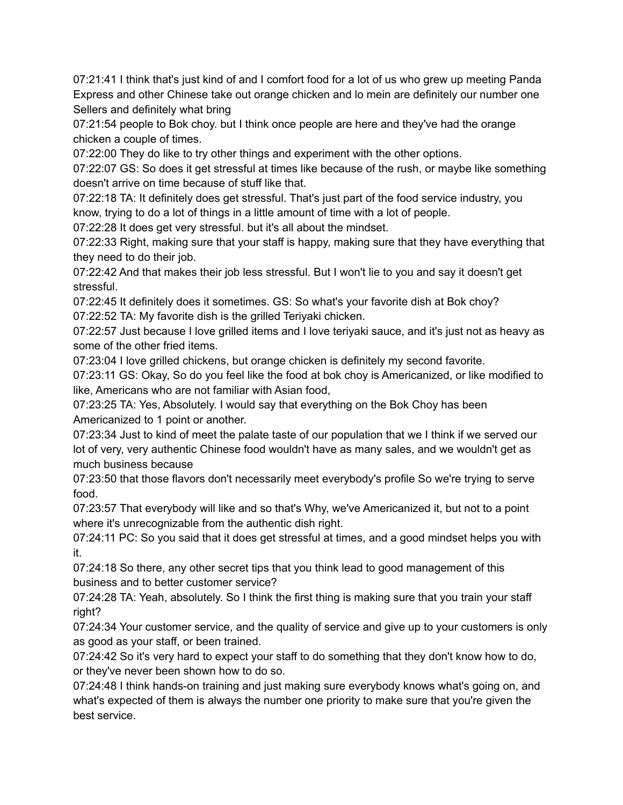07:21:41 I think that's just kind of and I comfort food for a lot of us who grew up meeting Panda Express and other Chinese take out orange chicken and lo mein are definitely our number one Sellers and definitely what bring

07:21:54 people to Bok choy. but I think once people are here and they've had the orange chicken a couple of times.

07:22:00 They do like to try other things and experiment with the other options.

07:22:07 GS: So does it get stressful at times like because of the rush, or maybe like something doesn't arrive on time because of stuff like that.

07:22:18 TA: It definitely does get stressful. That's just part of the food service industry, you know, trying to do a lot of things in a little amount of time with a lot of people.

07:22:28 It does get very stressful. but it's all about the mindset.

07:22:33 Right, making sure that your staff is happy, making sure that they have everything that they need to do their job.

07:22:42 And that makes their job less stressful. But I won't lie to you and say it doesn't get stressful.

07:22:45 It definitely does it sometimes. GS: So what's your favorite dish at Bok choy? 07:22:52 TA: My favorite dish is the grilled Teriyaki chicken.

07:22:57 Just because I love grilled items and I love teriyaki sauce, and it's just not as heavy as some of the other fried items.

07:23:04 I love grilled chickens, but orange chicken is definitely my second favorite.

07:23:11 GS: Okay, So do you feel like the food at bok choy is Americanized, or like modified to like, Americans who are not familiar with Asian food,

07:23:25 TA: Yes, Absolutely. I would say that everything on the Bok Choy has been Americanized to 1 point or another.

07:23:34 Just to kind of meet the palate taste of our population that we I think if we served our lot of very, very authentic Chinese food wouldn't have as many sales, and we wouldn't get as much business because

07:23:50 that those flavors don't necessarily meet everybody's profile So we're trying to serve food.

07:23:57 That everybody will like and so that's Why, we've Americanized it, but not to a point where it's unrecognizable from the authentic dish right.

07:24:11 PC: So you said that it does get stressful at times, and a good mindset helps you with it.

07:24:18 So there, any other secret tips that you think lead to good management of this business and to better customer service?

07:24:28 TA: Yeah, absolutely. So I think the first thing is making sure that you train your staff right?

07:24:34 Your customer service, and the quality of service and give up to your customers is only as good as your staff, or been trained.

07:24:42 So it's very hard to expect your staff to do something that they don't know how to do, or they've never been shown how to do so.

07:24:48 I think hands-on training and just making sure everybody knows what's going on, and what's expected of them is always the number one priority to make sure that you're given the best service.